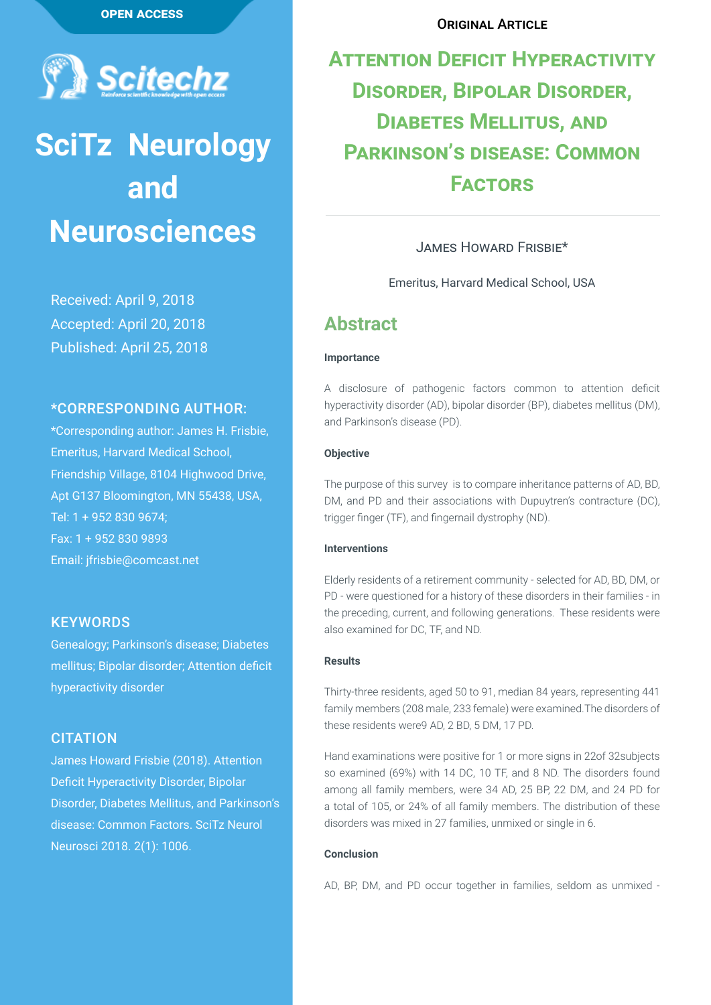

# **SciTz Neurology and Neurosciences**

Received: April 9, 2018 Accepted: April 20, 2018 Published: April 25, 2018

#### \*CORRESPONDING AUTHOR:

\*Corresponding author: James H. Frisbie, Emeritus, Harvard Medical School, Friendship Village, 8104 Highwood Drive, Apt G137 Bloomington, MN 55438, USA, Tel: 1 + 952 830 9674; Fax: 1 + 952 830 9893 Email: jfrisbie@comcast.net

#### **KEYWORDS**

Genealogy; Parkinson's disease; Diabetes mellitus; Bipolar disorder; Attention deficit hyperactivity disorder

#### **CITATION**

James Howard Frisbie (2018). Attention Deficit Hyperactivity Disorder, Bipolar Disorder, Diabetes Mellitus, and Parkinson's disease: Common Factors. SciTz Neurol Neurosci 2018. 2(1): 1006.

#### ORIGINAL ARTICLE

## **Attention Deficit Hyperactivity Disorder, Bipolar Disorder, Diabetes Mellitus, and Parkinson's disease: Common Factors**

#### James Howard Frisbie\*

Emeritus, Harvard Medical School, USA

## **Abstract**

#### **Importance**

A disclosure of pathogenic factors common to attention deficit hyperactivity disorder (AD), bipolar disorder (BP), diabetes mellitus (DM), and Parkinson's disease (PD).

#### **Objective**

The purpose of this survey is to compare inheritance patterns of AD, BD, DM, and PD and their associations with Dupuytren's contracture (DC), trigger finger (TF), and fingernail dystrophy (ND).

#### **Interventions**

Elderly residents of a retirement community - selected for AD, BD, DM, or PD - were questioned for a history of these disorders in their families - in the preceding, current, and following generations. These residents were also examined for DC, TF, and ND.

#### **Results**

Thirty-three residents, aged 50 to 91, median 84 years, representing 441 family members (208 male, 233 female) were examined.The disorders of these residents were9 AD, 2 BD, 5 DM, 17 PD.

Hand examinations were positive for 1 or more signs in 22of 32subjects so examined (69%) with 14 DC, 10 TF, and 8 ND. The disorders found among all family members, were 34 AD, 25 BP, 22 DM, and 24 PD for a total of 105, or 24% of all family members. The distribution of these disorders was mixed in 27 families, unmixed or single in 6.

#### **Conclusion**

AD, BP, DM, and PD occur together in families, seldom as unmixed -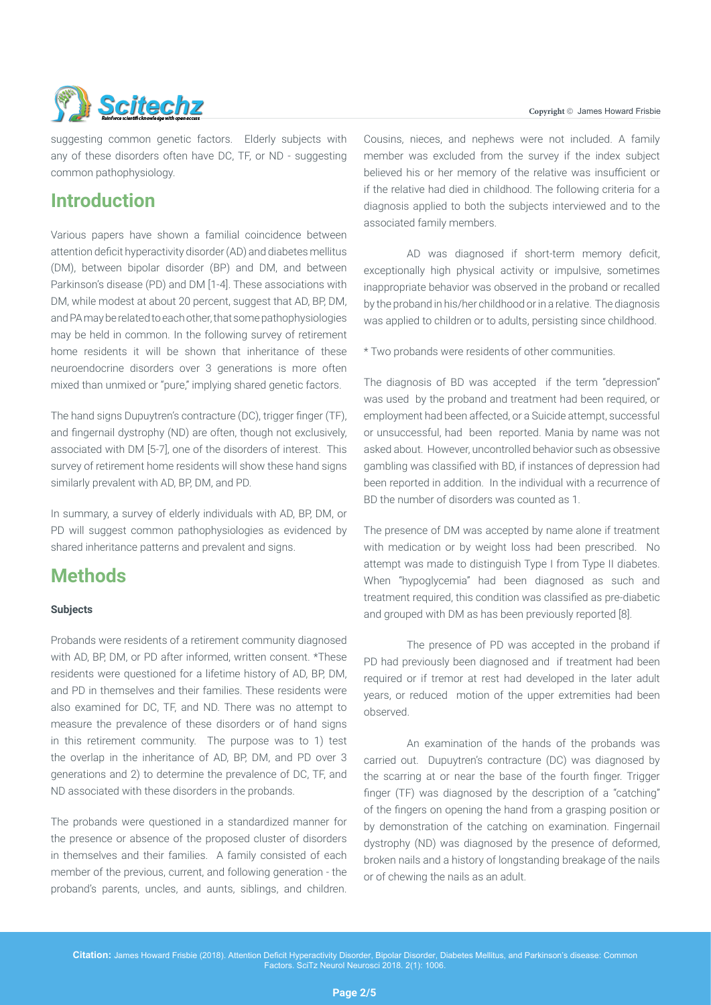

suggesting common genetic factors. Elderly subjects with any of these disorders often have DC, TF, or ND - suggesting common pathophysiology.

## **Introduction**

Various papers have shown a familial coincidence between attention deficit hyperactivity disorder (AD) and diabetes mellitus (DM), between bipolar disorder (BP) and DM, and between Parkinson's disease (PD) and DM [1-4]. These associations with DM, while modest at about 20 percent, suggest that AD, BP, DM, and PA may be related to each other, that some pathophysiologies may be held in common. In the following survey of retirement home residents it will be shown that inheritance of these neuroendocrine disorders over 3 generations is more often mixed than unmixed or "pure," implying shared genetic factors.

The hand signs Dupuytren's contracture (DC), trigger finger (TF), and fingernail dystrophy (ND) are often, though not exclusively, associated with DM [5-7], one of the disorders of interest. This survey of retirement home residents will show these hand signs similarly prevalent with AD, BP, DM, and PD.

In summary, a survey of elderly individuals with AD, BP, DM, or PD will suggest common pathophysiologies as evidenced by shared inheritance patterns and prevalent and signs.

## **Methods**

#### **Subjects**

Probands were residents of a retirement community diagnosed with AD, BP, DM, or PD after informed, written consent. \*These residents were questioned for a lifetime history of AD, BP, DM, and PD in themselves and their families. These residents were also examined for DC, TF, and ND. There was no attempt to measure the prevalence of these disorders or of hand signs in this retirement community. The purpose was to 1) test the overlap in the inheritance of AD, BP, DM, and PD over 3 generations and 2) to determine the prevalence of DC, TF, and ND associated with these disorders in the probands.

The probands were questioned in a standardized manner for the presence or absence of the proposed cluster of disorders in themselves and their families. A family consisted of each member of the previous, current, and following generation - the proband's parents, uncles, and aunts, siblings, and children.

Cousins, nieces, and nephews were not included. A family member was excluded from the survey if the index subject believed his or her memory of the relative was insufficient or if the relative had died in childhood. The following criteria for a diagnosis applied to both the subjects interviewed and to the associated family members.

AD was diagnosed if short-term memory deficit, exceptionally high physical activity or impulsive, sometimes inappropriate behavior was observed in the proband or recalled by the proband in his/her childhood or in a relative. The diagnosis was applied to children or to adults, persisting since childhood.

\* Two probands were residents of other communities.

The diagnosis of BD was accepted if the term "depression" was used by the proband and treatment had been required, or employment had been affected, or a Suicide attempt, successful or unsuccessful, had been reported. Mania by name was not asked about. However, uncontrolled behavior such as obsessive gambling was classified with BD, if instances of depression had been reported in addition. In the individual with a recurrence of BD the number of disorders was counted as 1.

The presence of DM was accepted by name alone if treatment with medication or by weight loss had been prescribed. No attempt was made to distinguish Type I from Type II diabetes. When "hypoglycemia" had been diagnosed as such and treatment required, this condition was classified as pre-diabetic and grouped with DM as has been previously reported [8].

The presence of PD was accepted in the proband if PD had previously been diagnosed and if treatment had been required or if tremor at rest had developed in the later adult years, or reduced motion of the upper extremities had been observed.

An examination of the hands of the probands was carried out. Dupuytren's contracture (DC) was diagnosed by the scarring at or near the base of the fourth finger. Trigger finger (TF) was diagnosed by the description of a "catching" of the fingers on opening the hand from a grasping position or by demonstration of the catching on examination. Fingernail dystrophy (ND) was diagnosed by the presence of deformed, broken nails and a history of longstanding breakage of the nails or of chewing the nails as an adult.

**Citation:** James Howard Frisbie (2018). Attention Deficit Hyperactivity Disorder, Bipolar Disorder, Diabetes Mellitus, and Parkinson's disease: Common Factors. SciTz Neurol Neurosci 2018. 2(1): 1006.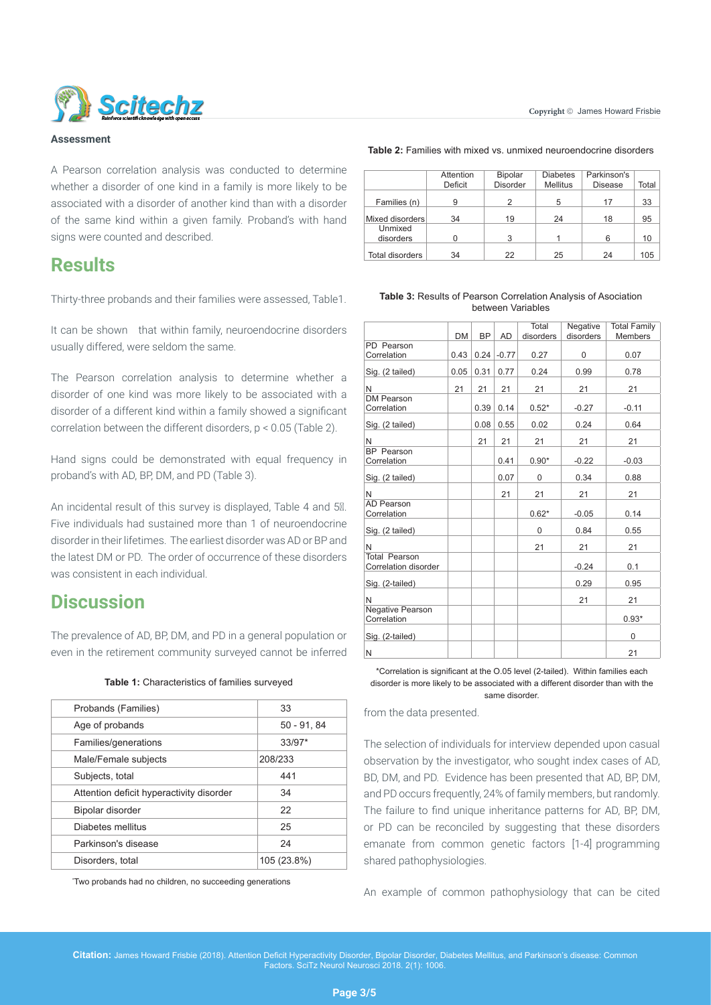

#### **Assessment**

A Pearson correlation analysis was conducted to determine whether a disorder of one kind in a family is more likely to be associated with a disorder of another kind than with a disorder of the same kind within a given family. Proband's with hand signs were counted and described.

### **Results**

Thirty-three probands and their families were assessed, Table1.

It can be shown that within family, neuroendocrine disorders usually differed, were seldom the same.

The Pearson correlation analysis to determine whether a disorder of one kind was more likely to be associated with a disorder of a different kind within a family showed a significant correlation between the different disorders, p < 0.05 (Table 2).

Hand signs could be demonstrated with equal frequency in proband's with AD, BP, DM, and PD (Table 3).

An incidental result of this survey is displayed, Table 4 and 5 $M$ . Five individuals had sustained more than 1 of neuroendocrine disorder in their lifetimes. The earliest disorder was AD or BP and the latest DM or PD. The order of occurrence of these disorders was consistent in each individual.

## **Discussion**

The prevalence of AD, BP, DM, and PD in a general population or even in the retirement community surveyed cannot be inferred

|  |  | Table 1: Characteristics of families surveyed |
|--|--|-----------------------------------------------|
|--|--|-----------------------------------------------|

| Probands (Families)                      | 33            |
|------------------------------------------|---------------|
| Age of probands                          | $50 - 91, 84$ |
| Families/generations                     | $33/97*$      |
| Male/Female subjects                     | 208/233       |
| Subjects, total                          | 441           |
| Attention deficit hyperactivity disorder | 34            |
| Bipolar disorder                         | 22            |
| Diabetes mellitus                        | 25            |
| Parkinson's disease                      | 24            |
| Disorders, total                         | 105 (23.8%)   |
|                                          |               |

\* Two probands had no children, no succeeding generations

**Table 2:** Families with mixed vs. unmixed neuroendocrine disorders

|                        | Attention | <b>Bipolar</b>  | <b>Diabetes</b> | Parkinson's    |       |
|------------------------|-----------|-----------------|-----------------|----------------|-------|
|                        | Deficit   | <b>Disorder</b> | <b>Mellitus</b> | <b>Disease</b> | Total |
| Families (n)           | 9         | 2               | 5               | 17             | 33    |
| Mixed disorders        | 34        | 19              | 24              | 18             | 95    |
| Unmixed                |           |                 |                 |                |       |
| disorders              |           | 3               |                 |                | 10    |
| <b>Total disorders</b> | 34        | 22              | 25              | 24             | 105   |

#### **Table 3:** Results of Pearson Correlation Analysis of Asociation between Variables

|                                              |      |      |           | Total     | Negative  | <b>Total Family</b> |
|----------------------------------------------|------|------|-----------|-----------|-----------|---------------------|
|                                              | DM   | BP   | <b>AD</b> | disorders | disorders | <b>Members</b>      |
| PD Pearson                                   |      |      |           |           |           |                     |
| Correlation                                  | 0.43 | 0.24 | $-0.77$   | 0.27      | 0         | 0.07                |
| Sig. (2 tailed)                              | 0.05 | 0.31 | 0.77      | 0.24      | 0.99      | 0.78                |
| N                                            | 21   | 21   | 21        | 21        | 21        | 21                  |
| <b>DM Pearson</b>                            |      |      |           |           |           |                     |
| Correlation                                  |      | 0.39 | 0.14      | $0.52*$   | $-0.27$   | $-0.11$             |
| Sig. (2 tailed)                              |      | 0.08 | 0.55      | 0.02      | 0.24      | 0.64                |
| N                                            |      | 21   | 21        | 21        | 21        | 21                  |
| <b>BP</b> Pearson                            |      |      |           |           |           |                     |
| Correlation                                  |      |      | 0.41      | $0.90*$   | $-0.22$   | $-0.03$             |
| Sig. (2 tailed)                              |      |      | 0.07      | 0         | 0.34      | 0.88                |
| N                                            |      |      | 21        | 21        | 21        | 21                  |
| <b>AD Pearson</b>                            |      |      |           |           |           |                     |
| Correlation                                  |      |      |           | $0.62*$   | $-0.05$   | 0.14                |
| Sig. (2 tailed)                              |      |      |           | 0         | 0.84      | 0.55                |
| N                                            |      |      |           | 21        | 21        | 21                  |
| <b>Total Pearson</b><br>Correlation disorder |      |      |           |           | $-0.24$   | 0.1                 |
| Sig. (2-tailed)                              |      |      |           |           | 0.29      | 0.95                |
| N                                            |      |      |           |           | 21        | 21                  |
| <b>Negative Pearson</b><br>Correlation       |      |      |           |           |           | $0.93*$             |
| Sig. (2-tailed)                              |      |      |           |           |           | 0                   |
| N                                            |      |      |           |           |           | 21                  |

\*Correlation is significant at the O.05 level (2-tailed). Within families each disorder is more likely to be associated with a different disorder than with the same disorder.

from the data presented.

The selection of individuals for interview depended upon casual observation by the investigator, who sought index cases of AD, BD, DM, and PD. Evidence has been presented that AD, BP, DM, and PD occurs frequently, 24% of family members, but randomly. The failure to find unique inheritance patterns for AD, BP, DM, or PD can be reconciled by suggesting that these disorders emanate from common genetic factors [1-4] programming shared pathophysiologies.

An example of common pathophysiology that can be cited

**Citation:** James Howard Frisbie (2018). Attention Deficit Hyperactivity Disorder, Bipolar Disorder, Diabetes Mellitus, and Parkinson's disease: Common Factors. SciTz Neurol Neurosci 2018. 2(1): 1006.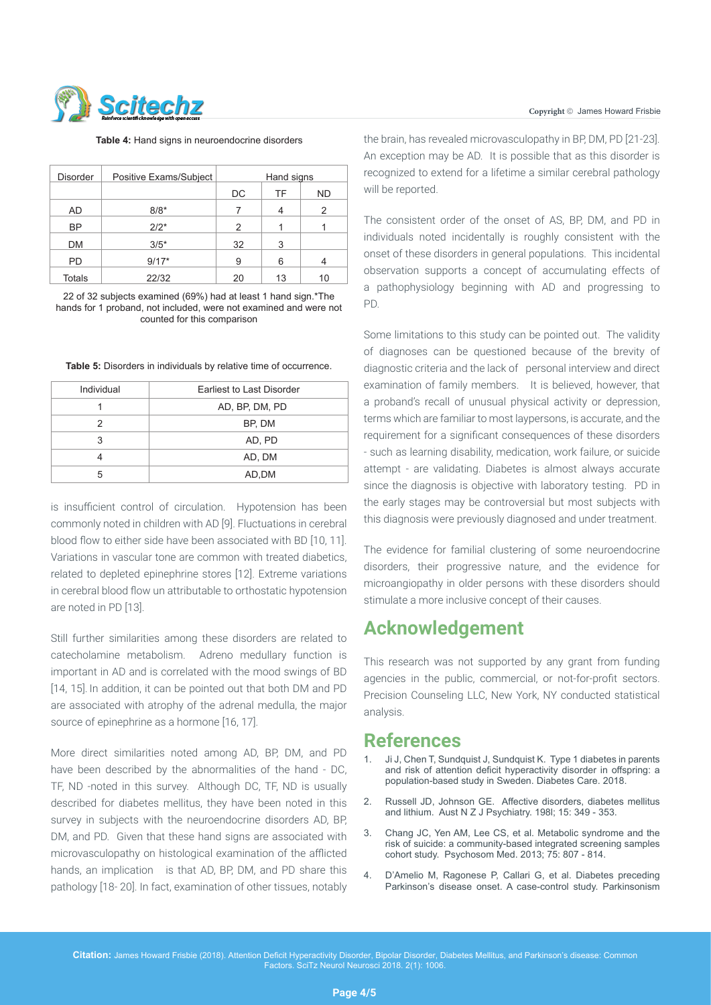

Table 4: Hand signs in neuroendocrine disorders

| <b>Disorder</b> | Positive Exams/Subject | Hand signs |    |           |
|-----------------|------------------------|------------|----|-----------|
|                 |                        | DC         | TF | <b>ND</b> |
| AD              | $8/8*$                 |            |    | 2         |
| <b>BP</b>       | $2/2*$                 | 2          |    |           |
| DM              | $3/5*$                 | 32         | 3  |           |
| <b>PD</b>       | $9/17*$                | 9          | 6  |           |
| <b>Totals</b>   | 22/32                  | 20         | 13 | 10        |

<sup>22</sup> of 32 subjects examined (69%) had at least 1 hand sign.\*The hands for 1 proband, not included, were not examined and were not counted for this comparison

**Table 5:** Disorders in individuals by relative time of occurrence.

| Individual | Earliest to Last Disorder |
|------------|---------------------------|
|            | AD, BP, DM, PD            |
| 2          | BP, DM                    |
| 3          | AD, PD                    |
|            | AD, DM                    |
| 5          | AD,DM                     |

is insufficient control of circulation. Hypotension has been commonly noted in children with AD [9]. Fluctuations in cerebral blood flow to either side have been associated with BD [10, 11]. Variations in vascular tone are common with treated diabetics, related to depleted epinephrine stores [12]. Extreme variations in cerebral blood flow un attributable to orthostatic hypotension are noted in PD [13].

Still further similarities among these disorders are related to catecholamine metabolism. Adreno medullary function is important in AD and is correlated with the mood swings of BD [14, 15]. In addition, it can be pointed out that both DM and PD are associated with atrophy of the adrenal medulla, the major source of epinephrine as a hormone [16, 17].

More direct similarities noted among AD, BP, DM, and PD have been described by the abnormalities of the hand - DC, TF, ND -noted in this survey. Although DC, TF, ND is usually described for diabetes mellitus, they have been noted in this survey in subjects with the neuroendocrine disorders AD, BP, DM, and PD. Given that these hand signs are associated with microvasculopathy on histological examination of the afflicted hands, an implication is that AD, BP, DM, and PD share this pathology [18- 20]. In fact, examination of other tissues, notably

the brain, has revealed microvasculopathy in BP, DM, PD [21-23]. An exception may be AD. It is possible that as this disorder is recognized to extend for a lifetime a similar cerebral pathology will be reported.

The consistent order of the onset of AS, BP, DM, and PD in individuals noted incidentally is roughly consistent with the onset of these disorders in general populations. This incidental observation supports a concept of accumulating effects of a pathophysiology beginning with AD and progressing to PD.

Some limitations to this study can be pointed out. The validity of diagnoses can be questioned because of the brevity of diagnostic criteria and the lack of personal interview and direct examination of family members. It is believed, however, that a proband's recall of unusual physical activity or depression, terms which are familiar to most laypersons, is accurate, and the requirement for a significant consequences of these disorders - such as learning disability, medication, work failure, or suicide attempt - are validating. Diabetes is almost always accurate since the diagnosis is objective with laboratory testing. PD in the early stages may be controversial but most subjects with this diagnosis were previously diagnosed and under treatment.

The evidence for familial clustering of some neuroendocrine disorders, their progressive nature, and the evidence for microangiopathy in older persons with these disorders should stimulate a more inclusive concept of their causes.

## **Acknowledgement**

This research was not supported by any grant from funding agencies in the public, commercial, or not-for-profit sectors. Precision Counseling LLC, New York, NY conducted statistical analysis.

## **References**

- Ji J, Chen T, Sundquist J, Sundquist K. Type 1 diabetes in parents [and risk of attention deficit hyperactivity disorder in offspring: a](https://www.ncbi.nlm.nih.gov/pubmed/29374069)  [population-based study in Sweden. Diabetes Care. 2018](https://www.ncbi.nlm.nih.gov/pubmed/29374069).
- 2. [Russell JD, Johnson GE. Affective disorders, diabetes mellitus](https://www.ncbi.nlm.nih.gov/pubmed/7041879)  [and lithium. Aust N Z J Psychiatry. 198l; 15: 349 - 353.](https://www.ncbi.nlm.nih.gov/pubmed/7041879)
- 3. [Chang JC, Yen AM, Lee CS, et al. Metabolic syndrome and the](https://www.ncbi.nlm.nih.gov/pubmed/24163389)  [risk of suicide: a community-based integrated screening samples](https://www.ncbi.nlm.nih.gov/pubmed/24163389)  [cohort study. Psychosom Med. 2013; 75: 807 - 814.](https://www.ncbi.nlm.nih.gov/pubmed/24163389)
- 4. [D'Amelio M, Ragonese P, Callari G, et al. Diabetes preceding](https://www.ncbi.nlm.nih.gov/pubmed/19356970)  [Parkinson's disease onset. A case-control study. Parkinsonism](https://www.ncbi.nlm.nih.gov/pubmed/19356970)

**Citation:** James Howard Frisbie (2018). Attention Deficit Hyperactivity Disorder, Bipolar Disorder, Diabetes Mellitus, and Parkinson's disease: Common Factors. SciTz Neurol Neurosci 2018. 2(1): 1006.